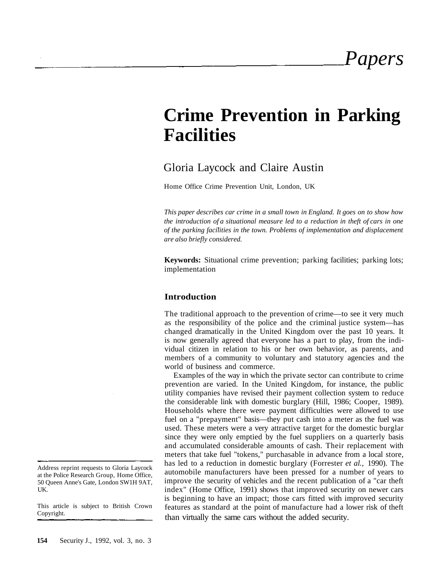# **Crime Prevention in Parking Facilities**

# Gloria Laycock and Claire Austin

Home Office Crime Prevention Unit, London, UK

*This paper describes car crime in a small town in England. It goes on to show how the introduction of a situational measure led to a reduction in theft of cars in one of the parking facilities in the town. Problems of implementation and displacement are also briefly considered.*

**Keywords:** Situational crime prevention; parking facilities; parking lots; implementation

#### **Introduction**

The traditional approach to the prevention of crime—to see it very much as the responsibility of the police and the criminal justice system—has changed dramatically in the United Kingdom over the past 10 years. It is now generally agreed that everyone has a part to play, from the individual citizen in relation to his or her own behavior, as parents, and members of a community to voluntary and statutory agencies and the world of business and commerce.

Examples of the way in which the private sector can contribute to crime prevention are varied. In the United Kingdom, for instance, the public utility companies have revised their payment collection system to reduce the considerable link with domestic burglary (Hill, 1986; Cooper, 1989). Households where there were payment difficulties were allowed to use fuel on a "prepayment" basis—they put cash into a meter as the fuel was used. These meters were a very attractive target for the domestic burglar since they were only emptied by the fuel suppliers on a quarterly basis and accumulated considerable amounts of cash. Their replacement with meters that take fuel "tokens," purchasable in advance from a local store, has led to a reduction in domestic burglary (Forrester *et al.,* 1990). The automobile manufacturers have been pressed for a number of years to improve the security of vehicles and the recent publication of a "car theft index" (Home Office, 1991) shows that improved security on newer cars is beginning to have an impact; those cars fitted with improved security features as standard at the point of manufacture had a lower risk of theft than virtually the same cars without the added security.

This article is subject to British Crown Copyright.

Address reprint requests to Gloria Laycock at the Police Research Group, Home Office, 50 Queen Anne's Gate, London SW1H 9AT, UK.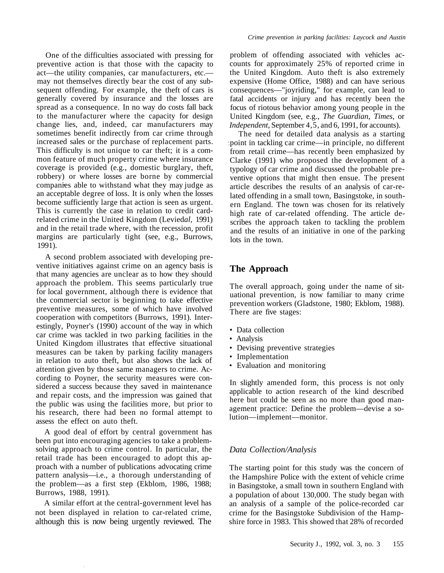One of the difficulties associated with pressing for preventive action is that those with the capacity to act—the utility companies, car manufacturers, etc. may not themselves directly bear the cost of any subsequent offending. For example, the theft of cars is generally covered by insurance and the losses are spread as a consequence. In no way do costs fall back to the manufacturer where the capacity for design change lies, and, indeed, car manufacturers may sometimes benefit indirectly from car crime through increased sales or the purchase of replacement parts. This difficulty is not unique to car theft; it is a common feature of much property crime where insurance coverage is provided (e.g., domestic burglary, theft, robbery) or where losses are borne by commercial companies able to withstand what they may judge as an acceptable degree of loss. It is only when the losses become sufficiently large that action is seen as urgent. This is currently the case in relation to credit cardrelated crime in the United Kingdom (Levied*al,* 1991) and in the retail trade where, with the recession, profit margins are particularly tight (see, e.g., Burrows, 1991).

A second problem associated with developing preventive initiatives against crime on an agency basis is that many agencies are unclear as to how they should approach the problem. This seems particularly true for local government, although there is evidence that the commercial sector is beginning to take effective preventive measures, some of which have involved cooperation with competitors (Burrows, 1991). Interestingly, Poyner's (1990) account of the way in which car crime was tackled in two parking facilities in the United Kingdom illustrates that effective situational measures can be taken by parking facility managers in relation to auto theft, but also shows the lack of attention given by those same managers to crime. According to Poyner, the security measures were considered a success because they saved in maintenance and repair costs, and the impression was gained that the public was using the facilities more, but prior to his research, there had been no formal attempt to assess the effect on auto theft.

A good deal of effort by central government has been put into encouraging agencies to take a problemsolving approach to crime control. In particular, the retail trade has been encouraged to adopt this approach with a number of publications advocating crime pattern analysis—i.e., a thorough understanding of the problem—as a first step (Ekblom, 1986, 1988; Burrows, 1988, 1991).

A similar effort at the central-government level has not been displayed in relation to car-related crime, although this is now being urgently reviewed. The

problem of offending associated with vehicles accounts for approximately 25% of reported crime in the United Kingdom. Auto theft is also extremely expensive (Home Office, 1988) and can have serious consequences—"joyriding," for example, can lead to fatal accidents or injury and has recently been the focus of riotous behavior among young people in the United Kingdom (see, e.g., *The Guardian, Times,* or *Independent,* September 4,5, and 6, 1991, for accounts).

The need for detailed data analysis as a starting point in tackling car crime—in principle, no different from retail crime—has recently been emphasized by Clarke (1991) who proposed the development of a typology of car crime and discussed the probable preventive options that might then ensue. The present article describes the results of an analysis of car-related offending in a small town, Basingstoke, in southern England. The town was chosen for its relatively high rate of car-related offending. The article describes the approach taken to tackling the problem and the results of an initiative in one of the parking lots in the town.

## **The Approach**

The overall approach, going under the name of situational prevention, is now familiar to many crime prevention workers (Gladstone, 1980; Ekblom, 1988). There are five stages:

- Data collection
- Analysis
- Devising preventive strategies
- Implementation
- Evaluation and monitoring

In slightly amended form, this process is not only applicable to action research of the kind described here but could be seen as no more than good management practice: Define the problem—devise a solution—implement—monitor.

### *Data Collection/Analysis*

The starting point for this study was the concern of the Hampshire Police with the extent of vehicle crime in Basingstoke, a small town in southern England with a population of about 130,000. The study began with an analysis of a sample of the police-recorded car crime for the Basingstoke Subdivision of the Hampshire force in 1983. This showed that 28% of recorded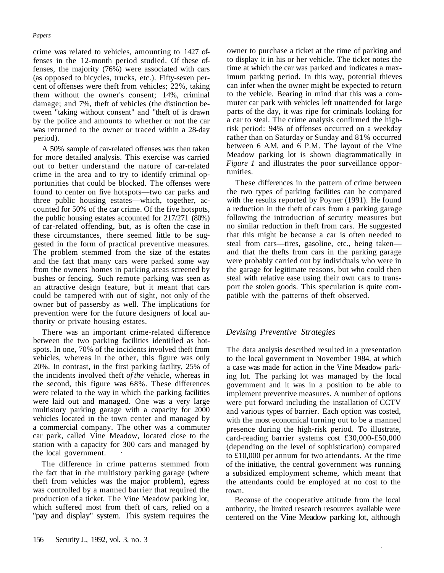#### *Papers*

crime was related to vehicles, amounting to 1427 offenses in the 12-month period studied. Of these offenses, the majority (76%) were associated with cars (as opposed to bicycles, trucks, etc.). Fifty-seven percent of offenses were theft from vehicles; 22%, taking them without the owner's consent; 14%, criminal damage; and 7%, theft of vehicles (the distinction between "taking without consent" and "theft of is drawn by the police and amounts to whether or not the car was returned to the owner or traced within a 28-day period).

A 50% sample of car-related offenses was then taken for more detailed analysis. This exercise was carried out to better understand the nature of car-related crime in the area and to try to identify criminal opportunities that could be blocked. The offenses were found to center on five hotspots—two car parks and three public housing estates—which, together, accounted for 50% of the car crime. Of the five hotspots, the public housing estates accounted for 217/271 (80%) of car-related offending, but, as is often the case in these circumstances, there seemed little to be suggested in the form of practical preventive measures. The problem stemmed from the size of the estates and the fact that many cars were parked some way from the owners' homes in parking areas screened by bushes or fencing. Such remote parking was seen as an attractive design feature, but it meant that cars could be tampered with out of sight, not only of the owner but of passersby as well. The implications for prevention were for the future designers of local authority or private housing estates.

There was an important crime-related difference between the two parking facilities identified as hotspots. In one, 70% of the incidents involved theft from vehicles, whereas in the other, this figure was only 20%. In contrast, in the first parking facility, 25% of the incidents involved theft *of the* vehicle, whereas in the second, this figure was 68%. These differences were related to the way in which the parking facilities were laid out and managed. One was a very large multistory parking garage with a capacity for 2000 vehicles located in the town center and managed by a commercial company. The other was a commuter car park, called Vine Meadow, located close to the station with a capacity for 300 cars and managed by the local government.

The difference in crime patterns stemmed from the fact that in the multistory parking garage (where theft from vehicles was the major problem), egress was controlled by a manned barrier that required the production of a ticket. The Vine Meadow parking lot, which suffered most from theft of cars, relied on a "pay and display" system. This system requires the owner to purchase a ticket at the time of parking and to display it in his or her vehicle. The ticket notes the time at which the car was parked and indicates a maximum parking period. In this way, potential thieves can infer when the owner might be expected to return to the vehicle. Bearing in mind that this was a commuter car park with vehicles left unattended for large parts of the day, it was ripe for criminals looking for a car to steal. The crime analysis confirmed the highrisk period: 94% of offenses occurred on a weekday rather than on Saturday or Sunday and 81% occurred between 6 A.M. and 6 P.M. The layout of the Vine Meadow parking lot is shown diagrammatically in *Figure 1* and illustrates the poor surveillance opportunities.

These differences in the pattern of crime between the two types of parking facilities can be compared with the results reported by Poyner (1991). He found a reduction in the theft of cars from a parking garage following the introduction of security measures but no similar reduction in theft from cars. He suggested that this might be because a car is often needed to steal from cars—tires, gasoline, etc., being taken and that the thefts from cars in the parking garage were probably carried out by individuals who were in the garage for legitimate reasons, but who could then steal with relative ease using their own cars to transport the stolen goods. This speculation is quite compatible with the patterns of theft observed.

### *Devising Preventive Strategies*

The data analysis described resulted in a presentation to the local government in November 1984, at which a case was made for action in the Vine Meadow parking lot. The parking lot was managed by the local government and it was in a position to be able to implement preventive measures. A number of options were put forward including the installation of CCTV and various types of barrier. Each option was costed, with the most economical turning out to be a manned presence during the high-risk period. To illustrate, card-reading barrier systems cost £30,000-£50,000 (depending on the level of sophistication) compared to £10,000 per annum for two attendants. At the time of the initiative, the central government was running a subsidized employment scheme, which meant that the attendants could be employed at no cost to the town.

Because of the cooperative attitude from the local authority, the limited research resources available were centered on the Vine Meadow parking lot, although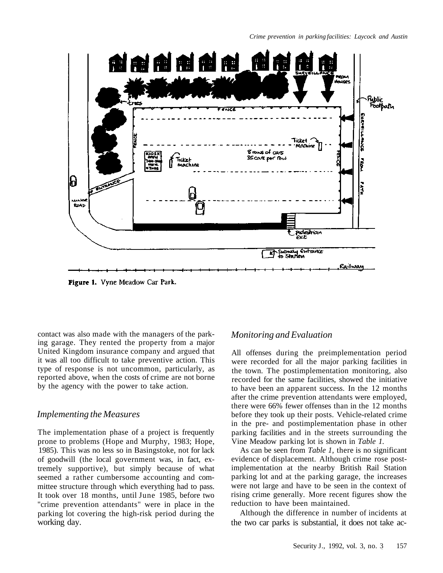

Figure 1. Vyne Meadow Car Park.

contact was also made with the managers of the parking garage. They rented the property from a major United Kingdom insurance company and argued that it was all too difficult to take preventive action. This type of response is not uncommon, particularly, as reported above, when the costs of crime are not borne by the agency with the power to take action.

### *Implementing the Measures*

The implementation phase of a project is frequently prone to problems (Hope and Murphy, 1983; Hope, 1985). This was no less so in Basingstoke, not for lack of goodwill (the local government was, in fact, extremely supportive), but simply because of what seemed a rather cumbersome accounting and committee structure through which everything had to pass. It took over 18 months, until June 1985, before two "crime prevention attendants" were in place in the parking lot covering the high-risk period during the working day.

### *Monitoring and Evaluation*

All offenses during the preimplementation period were recorded for all the major parking facilities in the town. The postimplementation monitoring, also recorded for the same facilities, showed the initiative to have been an apparent success. In the 12 months after the crime prevention attendants were employed, there were 66% fewer offenses than in the 12 months before they took up their posts. Vehicle-related crime in the pre- and postimplementation phase in other parking facilities and in the streets surrounding the Vine Meadow parking lot is shown in *Table 1.*

As can be seen from *Table 1,* there is no significant evidence of displacement. Although crime rose postimplementation at the nearby British Rail Station parking lot and at the parking garage, the increases were not large and have to be seen in the context of rising crime generally. More recent figures show the reduction to have been maintained.

Although the difference in number of incidents at the two car parks is substantial, it does not take ac-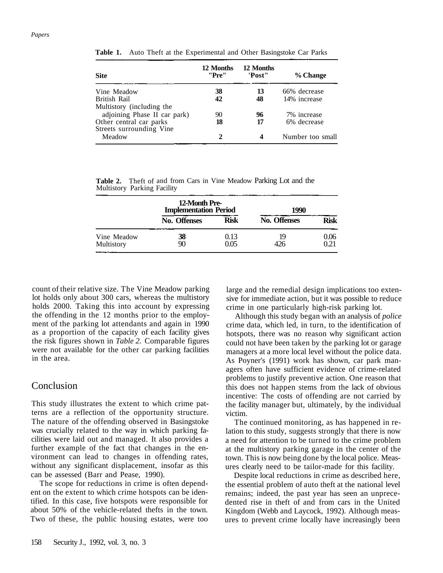| <b>Site</b>                                         | 12 Months<br>"Pre" | 12 Months<br>'Post" | % Change         |  |
|-----------------------------------------------------|--------------------|---------------------|------------------|--|
| Vine Meadow                                         | 38                 | 13                  | 66% decrease     |  |
| British Rail                                        | 42                 | 48                  | 14% increase     |  |
| Multistory (including the                           |                    |                     |                  |  |
| adjoining Phase II car park)                        | 90                 | 96                  | 7% increase      |  |
| Other central car parks<br>Streets surrounding Vine | 18                 | 17                  | 6% decrease      |  |
| Meadow                                              | 2                  |                     | Number too small |  |

**Table 1.** Auto Theft at the Experimental and Other Basingstoke Car Parks

| Table 2. Theft of and from Cars in Vine Meadow Parking Lot and the |  |  |  |  |
|--------------------------------------------------------------------|--|--|--|--|
| Multistory Parking Facility                                        |  |  |  |  |

|                           | 12-Month Pre-<br><b>Implementation Period</b> |              | 1990         |              |  |
|---------------------------|-----------------------------------------------|--------------|--------------|--------------|--|
|                           | No. Offenses                                  | <b>Risk</b>  | No. Offenses | Risk         |  |
| Vine Meadow<br>Multistory | 38<br>90                                      | 0.13<br>0.05 | 19<br>426    | 0.06<br>0.21 |  |

count of their relative size. The Vine Meadow parking lot holds only about 300 cars, whereas the multistory holds 2000. Taking this into account by expressing the offending in the 12 months prior to the employment of the parking lot attendants and again in 1990 as a proportion of the capacity of each facility gives the risk figures shown in *Table 2.* Comparable figures were not available for the other car parking facilities in the area.

#### Conclusion

This study illustrates the extent to which crime patterns are a reflection of the opportunity structure. The nature of the offending observed in Basingstoke was crucially related to the way in which parking facilities were laid out and managed. It also provides a further example of the fact that changes in the environment can lead to changes in offending rates, without any significant displacement, insofar as this can be assessed (Barr and Pease, 1990).

The scope for reductions in crime is often dependent on the extent to which crime hotspots can be identified. In this case, five hotspots were responsible for about 50% of the vehicle-related thefts in the town. Two of these, the public housing estates, were too large and the remedial design implications too extensive for immediate action, but it was possible to reduce crime in one particularly high-risk parking lot.

Although this study began with an analysis of *police* crime data, which led, in turn, to the identification of hotspots, there was no reason why significant action could not have been taken by the parking lot or garage managers at a more local level without the police data. As Poyner's (1991) work has shown, car park managers often have sufficient evidence of crime-related problems to justify preventive action. One reason that this does not happen stems from the lack of obvious incentive: The costs of offending are not carried by the facility manager but, ultimately, by the individual victim.

The continued monitoring, as has happened in relation to this study, suggests strongly that there is now a need for attention to be turned to the crime problem at the multistory parking garage in the center of the town. This is now being done by the local police. Measures clearly need to be tailor-made for this facility.

Despite local reductions in crime as described here, the essential problem of auto theft at the national level remains; indeed, the past year has seen an unprecedented rise in theft of and from cars in the United Kingdom (Webb and Laycock, 1992). Although measures to prevent crime locally have increasingly been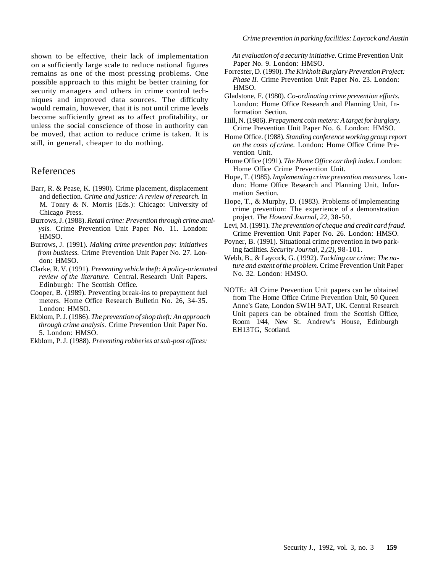shown to be effective, their lack of implementation on a sufficiently large scale to reduce national figures remains as one of the most pressing problems. One possible approach to this might be better training for security managers and others in crime control techniques and improved data sources. The difficulty would remain, however, that it is not until crime levels become sufficiently great as to affect profitability, or unless the social conscience of those in authority can be moved, that action to reduce crime is taken. It is still, in general, cheaper to do nothing.

#### References

- Barr, R. & Pease, K. (1990). Crime placement, displacement and deflection. *Crime and justice: A review of research.* In M. Tonry & N. Morris (Eds.): Chicago: University of Chicago Press.
- Burrows, J. (1988). *Retail crime: Prevention through crime analysis.* Crime Prevention Unit Paper No. 11. London: HMSO.
- Burrows, J. (1991). *Making crime prevention pay: initiatives from business.* Crime Prevention Unit Paper No. 27. London: HMSO.
- Clarke, R. V. (1991). *Preventing vehicle theft: A policy-orientated review of the literature.* Central. Research Unit Papers. Edinburgh: The Scottish Office.
- Cooper, B. (1989). Preventing break-ins to prepayment fuel meters. Home Office Research Bulletin No. 26, 34-35. London: HMSO.
- Ekblom, P. J. (1986). *The prevention of shop theft: An approach through crime analysis.* Crime Prevention Unit Paper No. 5. London: HMSO.
- Ekblom, P. J. (1988). *Preventing robberies at sub-post offices:*

*An evaluation of a security initiative.* Crime Prevention Unit Paper No. 9. London: HMSO.

- Forrester, D. (1990). *The Kirkholt Burglary Prevention Project: Phase II.* Crime Prevention Unit Paper No. 23. London: HMSO.
- Gladstone, F. (1980). *Co-ordinating crime prevention efforts.* London: Home Office Research and Planning Unit, Information Section.
- Hill, N. (1986). *Prepayment coin meters: A target for burglary.* Crime Prevention Unit Paper No. 6. London: HMSO.
- Home Office. (1988). *Standing conference working group report on the costs of crime.* London: Home Office Crime Prevention Unit.
- Home Office (1991). *The Home Office car theft index.* London: Home Office Crime Prevention Unit.
- Hope, T. (1985). *Implementing crime prevention measures.* London: Home Office Research and Planning Unit, Information Section.
- Hope, T., & Murphy, D. (1983). Problems of implementing crime prevention: The experience of a demonstration project. *The Howard Journal, 22,* 38-50.
- Levi, M. (1991). *The prevention of cheque and credit card fraud.* Crime Prevention Unit Paper No. 26. London: HMSO.
- Poyner, B. (1991). Situational crime prevention in two parking facilities. *Security Journal, 2,(2),* 98-101.
- Webb, B., & Laycock, G. (1992). *Tackling car crime: The nature and extent of the problem.* Crime Prevention Unit Paper No. 32. London: HMSO.
- NOTE: All Crime Prevention Unit papers can be obtained from The Home Office Crime Prevention Unit, 50 Queen Anne's Gate, London SW1H 9AT, UK. Central Research Unit papers can be obtained from the Scottish Office, Room 1/44, New St. Andrew's House, Edinburgh EH13TG, Scotland.